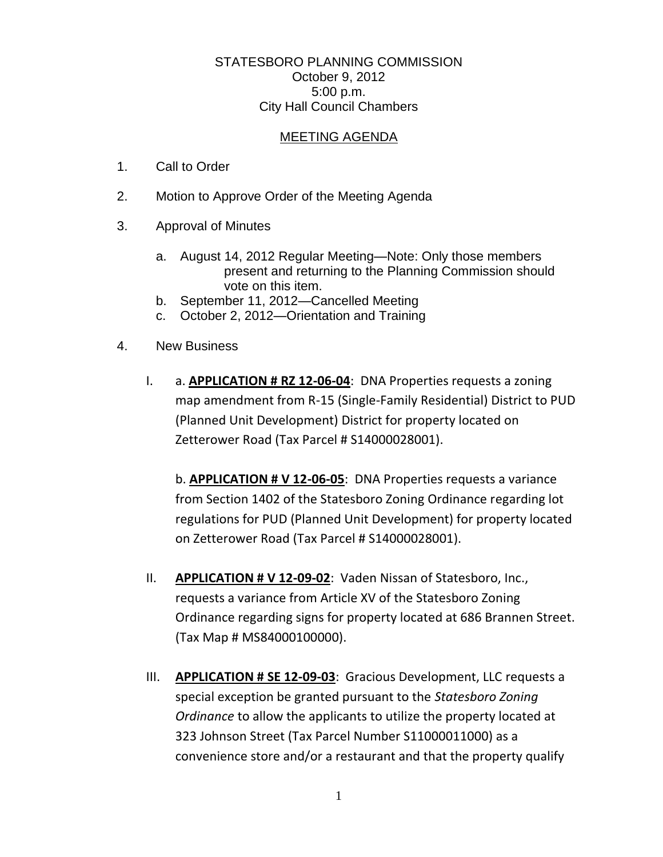## STATESBORO PLANNING COMMISSION October 9, 2012 5:00 p.m. City Hall Council Chambers

## MEETING AGENDA

- 1. Call to Order
- 2. Motion to Approve Order of the Meeting Agenda
- 3. Approval of Minutes
	- a. August 14, 2012 Regular Meeting—Note: Only those members present and returning to the Planning Commission should vote on this item.
	- b. September 11, 2012—Cancelled Meeting
	- c. October 2, 2012—Orientation and Training
- 4. New Business
	- I. a. **APPLICATION # RZ 12-06-04**: DNA Properties requests a zoning map amendment from R-15 (Single-Family Residential) District to PUD (Planned Unit Development) District for property located on Zetterower Road (Tax Parcel # S14000028001).

b. **APPLICATION # V 12-06-05**: DNA Properties requests a variance from Section 1402 of the Statesboro Zoning Ordinance regarding lot regulations for PUD (Planned Unit Development) for property located on Zetterower Road (Tax Parcel # S14000028001).

- II. **APPLICATION # V 12-09-02**: Vaden Nissan of Statesboro, Inc., requests a variance from Article XV of the Statesboro Zoning Ordinance regarding signs for property located at 686 Brannen Street. (Tax Map # MS84000100000).
- III. **APPLICATION # SE 12-09-03**: Gracious Development, LLC requests a special exception be granted pursuant to the *Statesboro Zoning Ordinance* to allow the applicants to utilize the property located at 323 Johnson Street (Tax Parcel Number S11000011000) as a convenience store and/or a restaurant and that the property qualify